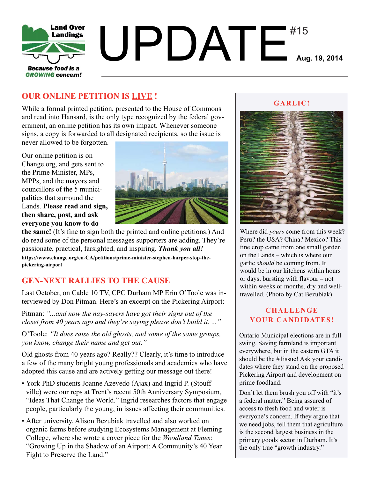

# **OUR ONLINE PETITION IS LIVE !**

While a formal printed petition, presented to the House of Commons and read into Hansard, is the only type recognized by the federal government, an online petition has its own impact. Whenever someone signs, a copy is forwarded to all designated recipients, so the issue is

never allowed to be forgotten.

Our online petition is on Change.org, and gets sent to the Prime Minister, MPs, MPPs, and the mayors and councillors of the 5 municipalities that surround the Lands. **Please read and sign, then share, post, and ask everyone you know to do**



**the same!** (It's fine to sign both the printed and online petitions.) And do read some of the personal messages supporters are adding. They're passionate, practical, farsighted, and inspiring. *Thank you all!* **https://www.change.org/en-CA/petitions/prime-minister-stephen-harper-stop-thepickering-airport**

## **GEN-NEXT RALLIES TO THE CAUSE**

Last October, on Cable 10 TV, CPC Durham MP Erin O'Toole was interviewed by Don Pitman. Here's an excerpt on the Pickering Airport:

Pitman: *"...and now the nay-sayers have got their signs out of the closet from 40 years ago and they're saying please don't build it. ..."*

O'Toole: *"It does raise the old ghosts, and some of the same groups, you know, change their name and get out."*

Old ghosts from 40 years ago? Really?? Clearly, it's time to introduce a few of the many bright young professionals and academics who have adopted this cause and are actively getting our message out there!

- York PhD students Joanne Azevedo (Ajax) and Ingrid P. (Stouffville) were our reps at Trent's recent 50th Anniversary Symposium, "Ideas That Change the World." Ingrid researches factors that engage people, particularly the young, in issues affecting their communities.
- After university, Alison Bezubiak travelled and also worked on organic farms before studying Ecosystems Management at Fleming College, where she wrote a cover piece for the *Woodland Times*: "Growing Up in the Shadow of an Airport: A Community's 40 Year Fight to Preserve the Land."

#### **GARLIC!**



Where did *yours* come from this week? Peru? the USA? China? Mexico? This fine crop came from one small garden on the Lands – which is where our garlic *should* be coming from. It would be in our kitchens within hours or days, bursting with flavour – not within weeks or months, dry and welltravelled. (Photo by Cat Bezubiak)

### **CHALLENGE YOUR CANDIDATES!**

Ontario Municipal elections are in full swing. Saving farmland is important everywhere, but in the eastern GTA it should be the #1issue! Ask your candidates where they stand on the proposed Pickering Airport and development on prime foodland.

Don't let them brush you off with "it's a federal matter." Being assured of access to fresh food and water is everyone's concern. If they argue that we need jobs, tell them that agriculture is the second largest business in the primary goods sector in Durham. It's the only true "growth industry."